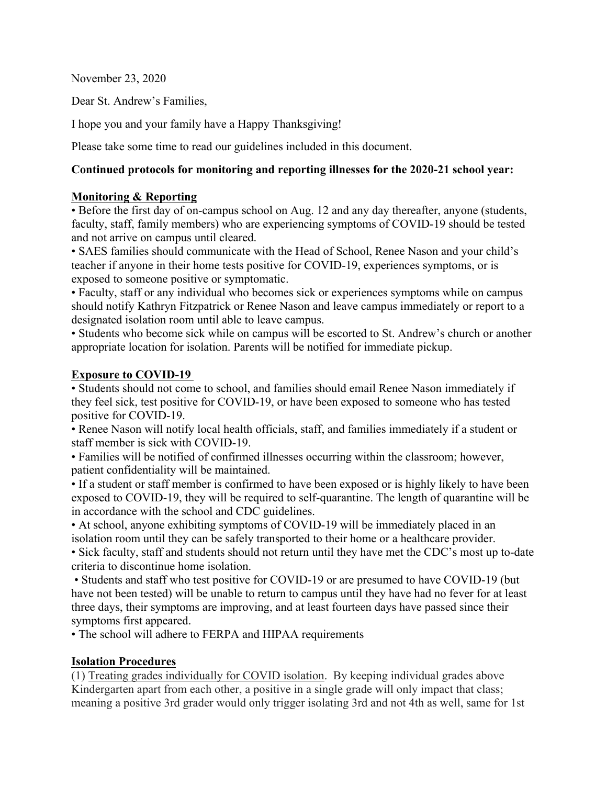November 23, 2020

Dear St. Andrew's Families,

I hope you and your family have a Happy Thanksgiving!

Please take some time to read our guidelines included in this document.

#### **Continued protocols for monitoring and reporting illnesses for the 2020-21 school year:**

#### **Monitoring & Reporting**

• Before the first day of on-campus school on Aug. 12 and any day thereafter, anyone (students, faculty, staff, family members) who are experiencing symptoms of COVID-19 should be tested and not arrive on campus until cleared.

• SAES families should communicate with the Head of School, Renee Nason and your child's teacher if anyone in their home tests positive for COVID-19, experiences symptoms, or is exposed to someone positive or symptomatic.

• Faculty, staff or any individual who becomes sick or experiences symptoms while on campus should notify Kathryn Fitzpatrick or Renee Nason and leave campus immediately or report to a designated isolation room until able to leave campus.

• Students who become sick while on campus will be escorted to St. Andrew's church or another appropriate location for isolation. Parents will be notified for immediate pickup.

#### **Exposure to COVID-19**

• Students should not come to school, and families should email Renee Nason immediately if they feel sick, test positive for COVID-19, or have been exposed to someone who has tested positive for COVID-19.

• Renee Nason will notify local health officials, staff, and families immediately if a student or staff member is sick with COVID-19.

• Families will be notified of confirmed illnesses occurring within the classroom; however, patient confidentiality will be maintained.

• If a student or staff member is confirmed to have been exposed or is highly likely to have been exposed to COVID-19, they will be required to self-quarantine. The length of quarantine will be in accordance with the school and CDC guidelines.

• At school, anyone exhibiting symptoms of COVID-19 will be immediately placed in an isolation room until they can be safely transported to their home or a healthcare provider. • Sick faculty, staff and students should not return until they have met the CDC's most up to-date criteria to discontinue home isolation.

• Students and staff who test positive for COVID-19 or are presumed to have COVID-19 (but have not been tested) will be unable to return to campus until they have had no fever for at least three days, their symptoms are improving, and at least fourteen days have passed since their symptoms first appeared.

• The school will adhere to FERPA and HIPAA requirements

### **Isolation Procedures**

(1) Treating grades individually for COVID isolation. By keeping individual grades above Kindergarten apart from each other, a positive in a single grade will only impact that class; meaning a positive 3rd grader would only trigger isolating 3rd and not 4th as well, same for 1st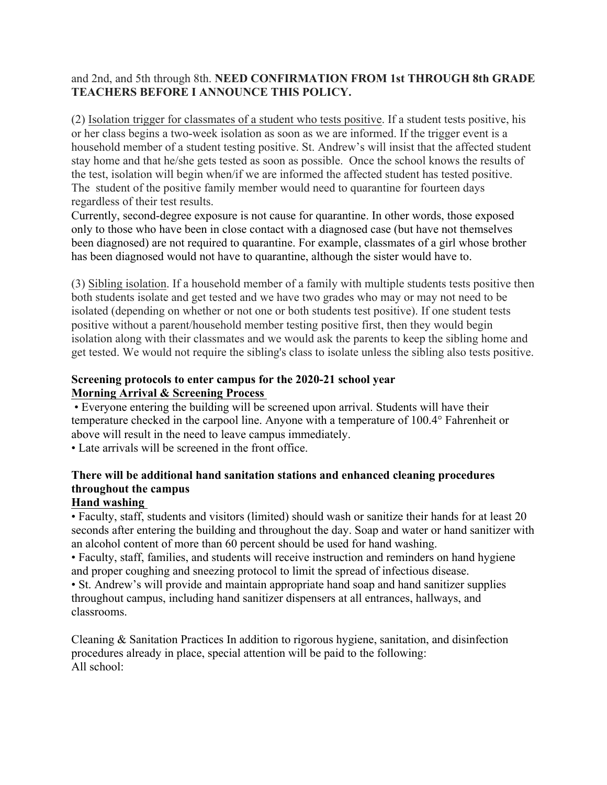### and 2nd, and 5th through 8th. **NEED CONFIRMATION FROM 1st THROUGH 8th GRADE TEACHERS BEFORE I ANNOUNCE THIS POLICY.**

(2) Isolation trigger for classmates of a student who tests positive. If a student tests positive, his or her class begins a two-week isolation as soon as we are informed. If the trigger event is a household member of a student testing positive. St. Andrew's will insist that the affected student stay home and that he/she gets tested as soon as possible. Once the school knows the results of the test, isolation will begin when/if we are informed the affected student has tested positive. The student of the positive family member would need to quarantine for fourteen days regardless of their test results.

Currently, second-degree exposure is not cause for quarantine. In other words, those exposed only to those who have been in close contact with a diagnosed case (but have not themselves been diagnosed) are not required to quarantine. For example, classmates of a girl whose brother has been diagnosed would not have to quarantine, although the sister would have to.

(3) Sibling isolation. If a household member of a family with multiple students tests positive then both students isolate and get tested and we have two grades who may or may not need to be isolated (depending on whether or not one or both students test positive). If one student tests positive without a parent/household member testing positive first, then they would begin isolation along with their classmates and we would ask the parents to keep the sibling home and get tested. We would not require the sibling's class to isolate unless the sibling also tests positive.

#### **Screening protocols to enter campus for the 2020-21 school year Morning Arrival & Screening Process**

• Everyone entering the building will be screened upon arrival. Students will have their temperature checked in the carpool line. Anyone with a temperature of 100.4° Fahrenheit or above will result in the need to leave campus immediately.

• Late arrivals will be screened in the front office.

# **There will be additional hand sanitation stations and enhanced cleaning procedures throughout the campus**

# **Hand washing**

• Faculty, staff, students and visitors (limited) should wash or sanitize their hands for at least 20 seconds after entering the building and throughout the day. Soap and water or hand sanitizer with an alcohol content of more than 60 percent should be used for hand washing.

• Faculty, staff, families, and students will receive instruction and reminders on hand hygiene and proper coughing and sneezing protocol to limit the spread of infectious disease.

• St. Andrew's will provide and maintain appropriate hand soap and hand sanitizer supplies throughout campus, including hand sanitizer dispensers at all entrances, hallways, and classrooms.

Cleaning & Sanitation Practices In addition to rigorous hygiene, sanitation, and disinfection procedures already in place, special attention will be paid to the following: All school: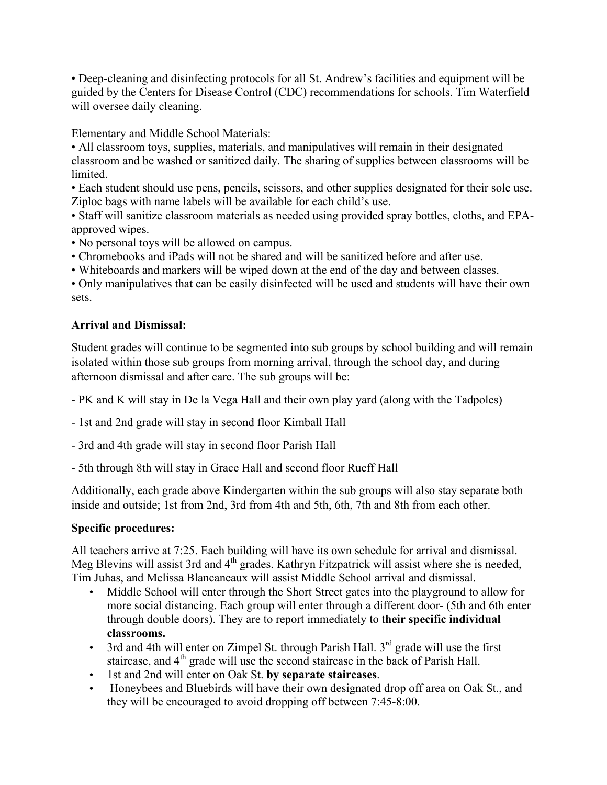• Deep-cleaning and disinfecting protocols for all St. Andrew's facilities and equipment will be guided by the Centers for Disease Control (CDC) recommendations for schools. Tim Waterfield will oversee daily cleaning.

Elementary and Middle School Materials:

• All classroom toys, supplies, materials, and manipulatives will remain in their designated classroom and be washed or sanitized daily. The sharing of supplies between classrooms will be limited.

• Each student should use pens, pencils, scissors, and other supplies designated for their sole use. Ziploc bags with name labels will be available for each child's use.

• Staff will sanitize classroom materials as needed using provided spray bottles, cloths, and EPAapproved wipes.

• No personal toys will be allowed on campus.

- Chromebooks and iPads will not be shared and will be sanitized before and after use.
- Whiteboards and markers will be wiped down at the end of the day and between classes.

• Only manipulatives that can be easily disinfected will be used and students will have their own sets.

## **Arrival and Dismissal:**

Student grades will continue to be segmented into sub groups by school building and will remain isolated within those sub groups from morning arrival, through the school day, and during afternoon dismissal and after care. The sub groups will be:

- PK and K will stay in De la Vega Hall and their own play yard (along with the Tadpoles)
- 1st and 2nd grade will stay in second floor Kimball Hall
- 3rd and 4th grade will stay in second floor Parish Hall
- 5th through 8th will stay in Grace Hall and second floor Rueff Hall

Additionally, each grade above Kindergarten within the sub groups will also stay separate both inside and outside; 1st from 2nd, 3rd from 4th and 5th, 6th, 7th and 8th from each other.

### **Specific procedures:**

All teachers arrive at 7:25. Each building will have its own schedule for arrival and dismissal. Meg Blevins will assist 3rd and  $4<sup>th</sup>$  grades. Kathryn Fitzpatrick will assist where she is needed, Tim Juhas, and Melissa Blancaneaux will assist Middle School arrival and dismissal.

- Middle School will enter through the Short Street gates into the playground to allow for more social distancing. Each group will enter through a different door- (5th and 6th enter through double doors). They are to report immediately to t**heir specific individual classrooms.**
- 3rd and 4th will enter on Zimpel St. through Parish Hall.  $3<sup>rd</sup>$  grade will use the first staircase, and  $4<sup>th</sup>$  grade will use the second staircase in the back of Parish Hall.
- 1st and 2nd will enter on Oak St. **by separate staircases**.
- Honeybees and Bluebirds will have their own designated drop off area on Oak St., and they will be encouraged to avoid dropping off between 7:45-8:00.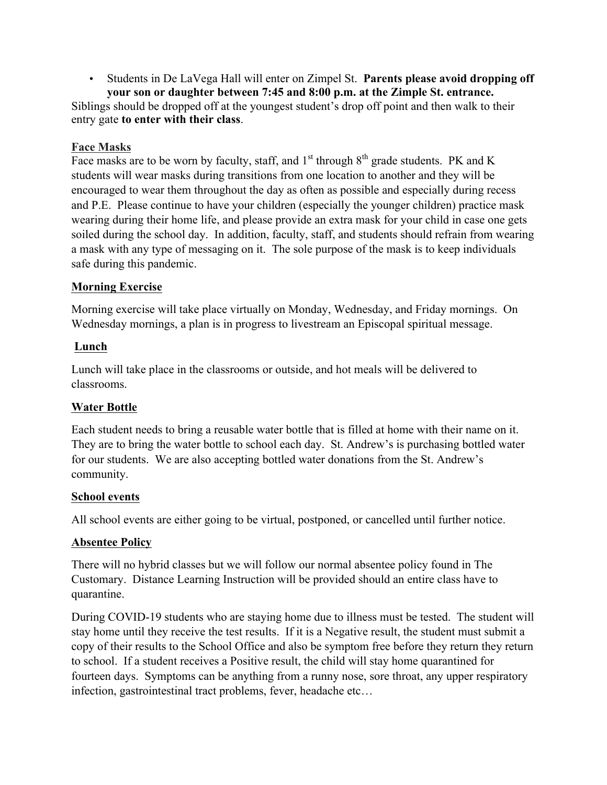• Students in De LaVega Hall will enter on Zimpel St. **Parents please avoid dropping off your son or daughter between 7:45 and 8:00 p.m. at the Zimple St. entrance.**

Siblings should be dropped off at the youngest student's drop off point and then walk to their entry gate **to enter with their class**.

# **Face Masks**

Face masks are to be worn by faculty, staff, and  $1<sup>st</sup>$  through  $8<sup>th</sup>$  grade students. PK and K students will wear masks during transitions from one location to another and they will be encouraged to wear them throughout the day as often as possible and especially during recess and P.E. Please continue to have your children (especially the younger children) practice mask wearing during their home life, and please provide an extra mask for your child in case one gets soiled during the school day. In addition, faculty, staff, and students should refrain from wearing a mask with any type of messaging on it. The sole purpose of the mask is to keep individuals safe during this pandemic.

## **Morning Exercise**

Morning exercise will take place virtually on Monday, Wednesday, and Friday mornings. On Wednesday mornings, a plan is in progress to livestream an Episcopal spiritual message.

## **Lunch**

Lunch will take place in the classrooms or outside, and hot meals will be delivered to classrooms.

# **Water Bottle**

Each student needs to bring a reusable water bottle that is filled at home with their name on it. They are to bring the water bottle to school each day. St. Andrew's is purchasing bottled water for our students. We are also accepting bottled water donations from the St. Andrew's community.

### **School events**

All school events are either going to be virtual, postponed, or cancelled until further notice.

# **Absentee Policy**

There will no hybrid classes but we will follow our normal absentee policy found in The Customary. Distance Learning Instruction will be provided should an entire class have to quarantine.

During COVID-19 students who are staying home due to illness must be tested. The student will stay home until they receive the test results. If it is a Negative result, the student must submit a copy of their results to the School Office and also be symptom free before they return they return to school. If a student receives a Positive result, the child will stay home quarantined for fourteen days. Symptoms can be anything from a runny nose, sore throat, any upper respiratory infection, gastrointestinal tract problems, fever, headache etc…